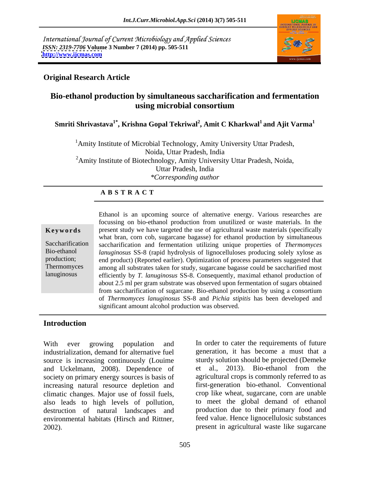International Journal of Current Microbiology and Applied Sciences *ISSN: 2319-7706* **Volume 3 Number 7 (2014) pp. 505-511 <http://www.ijcmas.com>**



## **Original Research Article**

# **Bio-ethanol production by simultaneous saccharification and fermentation using microbial consortium**

## **Smriti Shrivastava1\* , Krishna Gopal Tekriwal<sup>2</sup> , Amit C Kharkwal1 and Ajit Varma1**

<sup>1</sup>Amity Institute of Microbial Technology, Amity University Uttar Pradesh, Noida, Uttar Pradesh, India <sup>2</sup>Amity Institute of Biotechnology, Amity University Uttar Pradesh, Noida, Uttar Pradesh, India *\*Corresponding author* 

### **A B S T R A C T**

**Keywords** present study we have targeted the use of agricultural waste materials (specifically Saccharification saccharification and fermentation utilizing unique properties of *Thermomyces*  Bio-ethanol *lanuginosus* SS-8 (rapid hydrolysis of lignocelluloses producing solely xylose as production; end product) (Reported earlier). Optimization of process parameters suggested that Thermomyces among all substrates taken for study, sugarcane bagasse could be saccharified most lanuginosus efficiently by *T. lanuginosus* SS-8. Consequently, maximal ethanol production of Ethanol is an upcoming source of alternative energy. Various researches are focussing on bio-ethanol production from unutilized or waste materials. In the what bran, corn cob, sugarcane bagasse) for ethanol production by simultaneous about 2.5 ml per gram substrate was observed upon fermentation of sugars obtained from saccharification of sugarcane. Bio-ethanol production by using a consortium of *Thermomyces lanuginosus* SS-8 and *Pichia stipitis* has been developed and significant amount alcohol production was observed.

## **Introduction**

With ever growing population and In order to cater the requirements of future industrialization, demand for alternative fuel source is increasing continuously (Louime and Uckelmann, 2008). Dependence of et al., 2013). Bio-ethanol from the society on primary energy sources is basis of increasing natural resource depletion and climatic changes. Major use of fossil fuels, also leads to high levels of pollution, destruction of natural landscapes and environmental habitats (Hirsch and Rittner, With ever growing population and In order to cater the requirements of future industrialization, demand for alternative fuel generation, it has become a must that a source is increasing continuously (Louime study solution

generation, it has become a must that a sturdy solution should be projected (Demeke et al., 2013). Bio-ethanol from the agricultural crops is commonly referred to as first-generation bio-ethanol. Conventional crop like wheat, sugarcane, corn are unable to meet the global demand of ethanol production due to their primary food and feed value. Hence lignocellulosic substances present in agricultural waste like sugarcane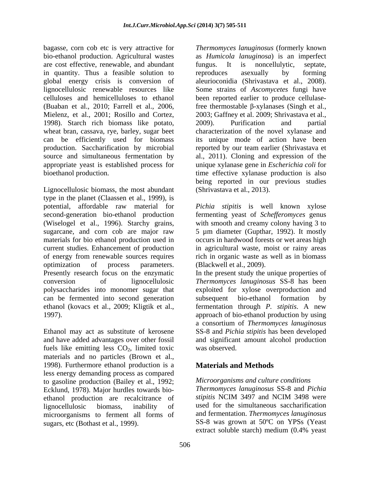bagasse, corn cob etc is very attractive for *Thermomyces lanuginosus* (formerly known bio-ethanol production. Agricultural wastes as *Humicola lanuginosa*) is an imperfect are cost effective, renewable, and abundant fungus. It is noncellulytic, septate, in quantity. Thus a feasible solution to reproduces as example by forming global energy crisis is conversion of aleurioconidia (Shrivastava et al., 2008). lignocellulosic renewable resources like Some strains of *Ascomycetes* fungi have celluloses and hemicelluloses to ethanol been reported earlier to produce cellulase-(Buaban et al., 2010; Farrell et al., 2006, free thermostable  $\beta$ -xylanases (Singh et al., Mielenz, et al., 2001; Rosillo and Cortez, 1998). Starch rich biomass like potato, wheat bran, cassava, rye, barley, sugar beet characterization of the novel xylanase and can be efficiently used for biomass its unique mode of action have been production. Saccharification by microbial reported by our team earlier (Shrivastava et source and simultaneous fermentation by al., 2011). Cloning and expression of the appropriate yeast is established process for unique xylanase gene in *Escherichia coli* for bioethanol production. time effective xylanase production is also

Lignocellulosic biomass, the most abundant type in the planet (Claassen et al., 1999), is potential, affordable raw material for *Pichia stipitis* is well known xylose second-generation bio-ethanol production fermenting yeast of *Schefferomyces* genus (Wiselogel et al., 1996). Starchy grains, with smooth and creamy colony having 3 to sugarcane, and corn cob are major raw 5 µm diameter (Gupthar, 1992). It mostly materials for bio ethanol production used in occurs in hardwood forests or wet areas high current studies. Enhancement of production in agricultural waste, moist or rainy areas of energy from renewable sources requires rich in organic waste as well as in biomass optimization of process parameters. (Blackwell et al., 2009). Presently research focus on the enzymatic can be fermented into second generation subsequent bio-ethanol formation by

fuels like emitting less  $CO<sub>2</sub>$ , limited toxic was observed. materials and no particles (Brown et al., 1998). Furthermore ethanol production is a less energy demanding process as compared to gasoline production (Bailey et al., 1992; Ecklund, 1978). Major hurdles towards bio-<br>
Ecklund, 1978). Major hurdles towards bio-<br>
Ecklund, 1978). Major hurdles towards bio-<br>
Stipitis NCIM 3497 and NCIM 3498 were ethanol production are recalcitrance of microorganisms to ferment all forms of

fungus. It is noncellulytic, septate, reproduces asexually by forming 2003; Gaffney et al. 2009; Shrivastava et al., 2009). Purification and partial being reported in our previous studies (Shrivastava et al., 2013).

(Blackwell et al., 2009).

conversion of lignocellulosic *Thermomyces lanuginosus* SS-8 has been polysaccharides into monomer sugar that exploited for xylose overproduction and ethanol (kovacs et al., 2009; Kligtik et al., fermentation through *P. stipitis*. A new 1997). approach of bio-ethanol production by using Ethanol may act as substitute of kerosene SS-8 and *Pichia stipitis* has been developed and have added advantages over other fossil and significant amount alcohol production In the present study the unique properties of subsequent bio-ethanol formation by a consortium of *Thermomyces lanuginosus* was observed.

# **Materials and Methods**

### *Microorganisms and culture conditions*

lignocellulosic biomass, inability of used for the simultaneous saccharification sugars, etc (Bothast et al., 1999). SS-8 was grown at 50ºC on YPSs (Yeast *Thermomyces lanuginosus* SS-8 and *Pichia stipitis* NCIM 3497 and NCIM 3498 were and fermentation. *Thermomyces lanuginosus* extract soluble starch) medium (0.4% yeast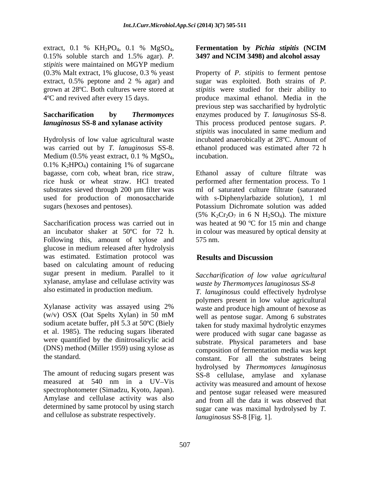extract, 0.1 % KH<sub>2</sub>PO<sub>4</sub>, 0.1 % MgSO<sub>4</sub>, **Fermentation by** *Pichia stipitis* **(NCIM** 0.15% soluble starch and 1.5% agar). *P*. **3497 and NCIM 3498) and alcohol assay** *stipitis* were maintained on MGYP medium

was carried out by *T. lanuginosus* SS-8. Medium (0.5% yeast extract, 0.1 % MgSO<sub>4</sub>, incubation.<br>0.1% K<sub>2</sub>HPO<sub>4</sub>) containing 1% of sugarcane substrates sieved through 200 µm filter was used for production of monosaccharide

Following this, amount of xylose and 575 nm. glucose in medium released after hydrolysis was estimated. Estimation protocol was **Results and Discussion** based on calculating amount of reducing sugar present in medium. Parallel to it xylanase, amylase and cellulase activity was

Xylanase activity was assayed using 2% sodium acetate buffer, pH 5.3 at 50ºC (Biely (DNS) method (Miller 1959) using xylose as

The amount of reducing sugars present was spectrophotometer (Simadzu, Kyoto, Japan). Amylase and cellulase activity was also determined by same protocol by using starch and cellulose as substrate respectively.

### **Fermentation by** *Pichia stipitis* **(NCIM 3497 and NCIM 3498) and alcohol assay**

(0.3% Malt extract, 1% glucose, 0.3 % yeast Property of *P. stipitis* to ferment pentose extract, 0.5% peptone and 2 % agar) and sugar was exploited. Both strains of P. grown at 28ºC. Both cultures were stored at *stipitis* were studied for their ability to 4ºC and revived after every 15 days. produce maximal ethanol. Media in the **Saccharification by** *Thermomyces* enzymes produced by *T. lanuginosus* SS-8. *lanuginosus* **SS-8 and xylanase activity**  This process produced pentose sugars. *P.*  Hydrolysis of low value agricultural waste incubated anaerobically at 28ºC. Amount of sugar was exploited. Both strains of *P.*  previous step was saccharified by hydrolytic *stipitis* was inoculated in same medium and ethanol produced was estimated after 72 h incubation.

bagasse, corn cob, wheat bran, rice straw, Ethanol assay of culture filtrate was rice husk or wheat straw. HCl treated performed after fermentation process. To 1 sugars (hexoses and pentoses). Potassium Dichromate solution was added Saccharification process was carried out in was heated at 90 °C for 15 min and change an incubator shaker at 50ºC for 72 h. in colour was measured by optical density at ml of saturated culture filtrate (saturated with s-Diphenylarbazide solution), 1 ml (5%  $K_2Cr_2O_7$  in 6 N H<sub>2</sub>SO<sub>4</sub>). The mixture 575 nm.

# **Results and Discussion**

## *Saccharification of low value agricultural waste by Thermomyces lanuginosus SS-8*

also estimated in production medium. *T. lanuginosus* could effectively hydrolyse  $(w/v)$  OSX (Oat Spelts Xylan) in 50 mM well as pentose sugar. Among 6 substrates et al. 1985). The reducing sugars liberated were produced with sugar cane bagasse as were quantified by the dinitrosalicylic acid substrate. Physical parameters and base the standard. constant. For all the substrates being measured at 540 nm in a UV-Vis activity was measured and amount of hexose polymers present in low value agricultural waste and produce high amount of hexose as well as pentose sugar. Among 6 substrates taken for study maximal hydrolytic enzymes composition of fermentation media was kept hydrolysed by *Thermomyces lanuginosus* SS-8 cellulase, amylase and xylanase and pentose sugar released were measured and from all the data it was observed that sugar cane was maximal hydrolysed by *T. lanuginosus* SS-8 [Fig. 1].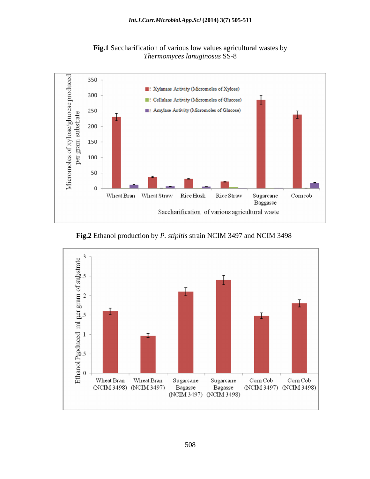

**Fig.1** Saccharification of various low values agricultural wastes by *Thermomyces lanuginosus* SS-8

**Fig.2** Ethanol production by *P. stipitis* strain NCIM 3497 and NCIM 3498

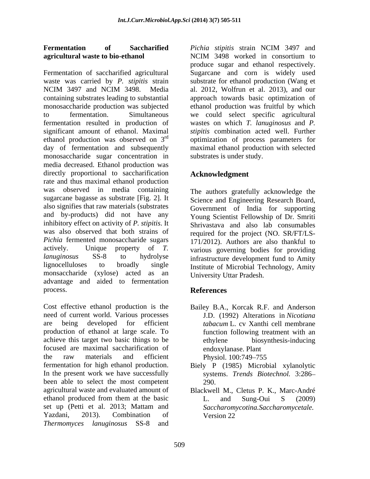### **Fermentation of Saccharified agricultural waste to bio-ethanol** NCIM 3498 worked in consortium to

Fermentation of saccharified agricultural Sugarcane and corn is widely used waste was carried by *P. stipitis* strain substrate for ethanol production (Wang et NCIM 3497 and NCIM 3498. Media al. 2012, Wolfrun et al. 2013), and our containing substrates leading to substantial approach towards basic optimization of monosaccharide production was subjected ethanol production was fruitful by which to fermentation. Simultaneous we could select specific agricultural fermentation resulted in production of wastes on which *T. lanuginosus* and *P.*  significant amount of ethanol. Maximal ethanol production was observed on 3<sup>rd</sup> optimization of process parameters for day of fermentation and subsequently maximal ethanol production with selected monosaccharide sugar concentration in media decreased. Ethanol production was directly proportional to saccharification rate and thus maximal ethanol production was observed in media containing The authors gratefully acknowledge the sugarcane bagasse as substrate [Fig. 2]. It also signifies that raw materials (substrates and by-products) did not have any inhibitory effect on activity of *P. stipitis*. It was also observed that both strains of required for the project (NO. SR/FT/LS- *Pichia* fermented monosaccharide sugars actively. Unique property of *T.*  various governing bodies for providing *lanuginosus* SS-8 to hydrolyse infrastructure development fund to Amity lignocelluloses to broadly single Institute of Microbial Technology, Amity monsaccharide (xylose) acted as an advantage and aided to fermentation process. References

Cost effective ethanol production is the Bailey B.A., Korcak R.F. and Anderson need of current world. Various processes are being developed for efficient tabacum L cv Xanthi cell membrane production of ethanol at large scale. To achieve this target two basic things to be focused are maximal saccharification of the raw materials and efficient Physiol 100:749–755 fermentation for high ethanol production. Biely P (1985) Microbial xylanolytic In the present work we have successfully systems. *Trends Biotechnol.* 3:286 been able to select the most competent 290. agricultural waste and evaluated amount of Blackwell M., Cletus P. K., Marc-André ethanol produced from them at the basic L. and Sung-Oui S (2009) set up (Petti et al. 2013; Mattam and Saccharomycotina. Saccharomycetale. Yazdani, 2013). Combination of *Thermomyces lanuginosus* SS-8 and

*Pichia stipitis* strain NCIM 3497 and NCIM 3498 worked in consortium to produce sugar and ethanol respectively. al. 2012, Wolfrun et al. 2013), and our *stipitis* combination acted well. Further substrates is under study.

# **Acknowledgment**

Science and Engineering Research Board, Government of India for supporting Young Scientist Fellowship of Dr. Smriti Shrivastava and also lab consumables 171/2012). Authors are also thankful to University Uttar Pradesh.

## **References**

- J.D. (1992) Alterations in *Nicotiana tabacum* L. cv Xanthi cell membrane function following treatment with an ethylene biosynthesis-inducing endoxylanase. Plant Physiol. 100:749–755
- 290.
- L. and Sung-Oui S (2009) *Saccharomycotina.Saccharomycetale.* Version 22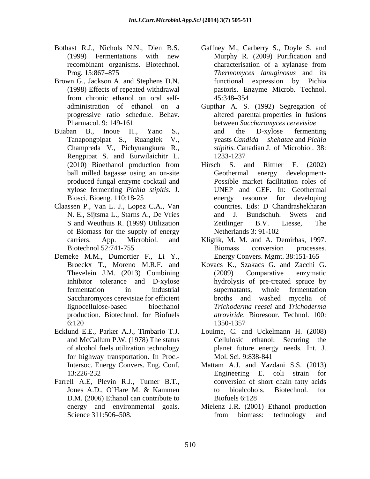- 
- Brown G., Jackson A. and Stephens D.N.
- Champreda V., Pichyuangkura R., Rengpipat S. and Eurwilaichitr L. produced fungal enzyme cocktail and xylose fermenting *Pichia stipitis.* J.
- Claassen P., Van L. J., Lopez C.A., Van of Biomass for the supply of energy Netherlands 3: 91-102
- Demeke M.M., Dumortier F., Li Y., production. Biotechnol. for Biofuels
- for highway transportation. In Proc.-
- Farrell A.E, Plevin R.J., Turner B.T., D.M. (2006) Ethanol can contribute to Biofuels 6:128
- Bothast R.J., Nichols N.N., Dien B.S. Gaffney M., Carberry S., Doyle S. and (1999) Fermentations with new Murphy R. (2009) Purification and recombinant organisms. Biotechnol. Prog. 15:867 875 *Thermomyces lanuginosus* and its (1998) Effects of repeated withdrawal pastoris. Enzyme Microb. Technol. from chronic ethanol on oral self characterisation of a xylanase from functional expression by Pichia 45:348 354
- administration of ethanol on a Gupthar A. S. (1992) Segregation of progressive ratio schedule. Behav. altered parental properties in fusions Pharmacol. 9: 149-161 between *Saccharomyces cerevisiae*  Buaban B., Inoue H., Yano S., Tanapongpipat S., Ruanglek V., yeasts *Candida shehatae* and *Pichia*  and the D-xylose fermenting *stipitis.* Canadian J. of Microbiol. 38: 1233-1237
	- (2010) Bioethanol production from ball milled bagasse using an on-site Geothermal energy development-Biosci. Bioeng. 110:18-25 energy resource for developing N. E., Sijtsma L., Starns A., De Vries S and Weuthuis R. (1999) Utilization 2 Zeitlinger B.V. Liesse, The Hirsch S. and Rittner F. (2002) Geothermal energy development- Possible market facilitation roles of UNEP and GEF. In: Geothermal energy resource for developing countries. Eds: D Chandrashekharan and J. Bundschuh. Swets and Zeitlinger B.V. Liesse, The Netherlands 3: 91-102
	- carriers. App. Microbiol. and Kligtik, M. M. and A. Demirbas, 1997. Biotechnol 52:741-755 Biomass conversion processes. Biomass conversion processes. Energy Convers. Mgmt. 38:151-165
	- Broeckx T., Moreno M.R.F. and Kovacs K., Szakacs G. and Zacchi G. Thevelein J.M. (2013) Combining inhibitor tolerance and D-xylose hydrolysis of pre-treated spruce by fermentation in industrial supernatants, whole fermentation Saccharomyces cerevisiae for efficient broths and washed mycelia of lignocellulose-based bioethanol *Trichoderma reesei* and *Trichoderma*  6:120 (2009) Comparative enzymatic supernatants, whole fermentation broths and washed mycelia of *atroviride*. Bioresour. Technol. 100: 1350-1357
- Ecklund E.E., Parker A.J., Timbario T.J. Louime, C. and Uckelmann H. (2008) and McCallum P.W. (1978) The status of alcohol fuels utilization technology planet future energy needs. Int. J. Cellulosic ethanol: Securing the Mol. Sci. 9:838-841
	- Intersoc. Energy Convers. Eng. Conf. Mattam A.J. and Yazdani S.S. (2013) 13:226-232 Engineering E. coli strain for Jones A.D., O'Hare M. & Kammen to bioalcohols. Biotechnol. for Engineering E. coli strain for conversion of short chain fatty acids to bioalcohols. Biotechnol. for Biofuels 6:128
	- energy and environmental goals. Mielenz J.R. (2001) Ethanol production Science 311:506–508. Trom biomass: technology and from biomass: technology and